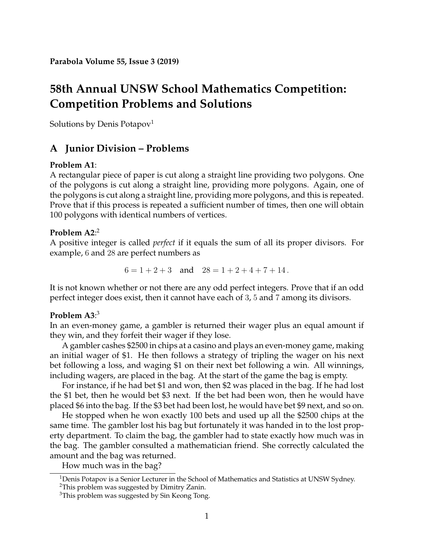# **58th Annual UNSW School Mathematics Competition: Competition Problems and Solutions**

Solutions by Denis Potapov<sup>[1](#page-0-0)</sup>

# **A Junior Division – Problems**

## **Problem A1**:

A rectangular piece of paper is cut along a straight line providing two polygons. One of the polygons is cut along a straight line, providing more polygons. Again, one of the polygons is cut along a straight line, providing more polygons, and this is repeated. Prove that if this process is repeated a sufficient number of times, then one will obtain 100 polygons with identical numbers of vertices.

## **Problem A2**: [2](#page-0-1)

A positive integer is called *perfect* if it equals the sum of all its proper divisors. For example, 6 and 28 are perfect numbers as

$$
6 = 1 + 2 + 3 \quad \text{and} \quad 28 = 1 + 2 + 4 + 7 + 14 \, .
$$

It is not known whether or not there are any odd perfect integers. Prove that if an odd perfect integer does exist, then it cannot have each of 3, 5 and 7 among its divisors.

## **Problem A3**: [3](#page-0-2)

In an even-money game, a gambler is returned their wager plus an equal amount if they win, and they forfeit their wager if they lose.

A gambler cashes \$2500 in chips at a casino and plays an even-money game, making an initial wager of \$1. He then follows a strategy of tripling the wager on his next bet following a loss, and waging \$1 on their next bet following a win. All winnings, including wagers, are placed in the bag. At the start of the game the bag is empty.

For instance, if he had bet \$1 and won, then \$2 was placed in the bag. If he had lost the \$1 bet, then he would bet \$3 next. If the bet had been won, then he would have placed \$6 into the bag. If the \$3 bet had been lost, he would have bet \$9 next, and so on.

He stopped when he won exactly 100 bets and used up all the \$2500 chips at the same time. The gambler lost his bag but fortunately it was handed in to the lost property department. To claim the bag, the gambler had to state exactly how much was in the bag. The gambler consulted a mathematician friend. She correctly calculated the amount and the bag was returned.

How much was in the bag?

<span id="page-0-0"></span><sup>&</sup>lt;sup>1</sup>Denis Potapov is a Senior Lecturer in the School of Mathematics and Statistics at UNSW Sydney.

<span id="page-0-1"></span><sup>&</sup>lt;sup>2</sup>This problem was suggested by Dimitry Zanin.

<span id="page-0-2"></span><sup>&</sup>lt;sup>3</sup>This problem was suggested by Sin Keong Tong.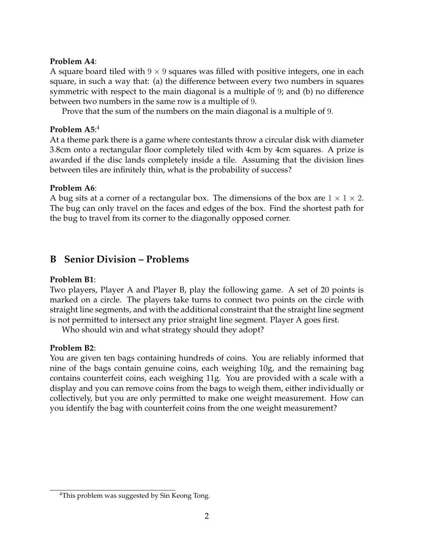#### **Problem A4**:

A square board tiled with  $9 \times 9$  squares was filled with positive integers, one in each square, in such a way that: (a) the difference between every two numbers in squares symmetric with respect to the main diagonal is a multiple of 9; and (b) no difference between two numbers in the same row is a multiple of 9.

Prove that the sum of the numbers on the main diagonal is a multiple of 9.

# **Problem A5**: [4](#page-1-0)

At a theme park there is a game where contestants throw a circular disk with diameter 3.8cm onto a rectangular floor completely tiled with 4cm by 4cm squares. A prize is awarded if the disc lands completely inside a tile. Assuming that the division lines between tiles are infinitely thin, what is the probability of success?

### **Problem A6**:

A bug sits at a corner of a rectangular box. The dimensions of the box are  $1 \times 1 \times 2$ . The bug can only travel on the faces and edges of the box. Find the shortest path for the bug to travel from its corner to the diagonally opposed corner.

# **B Senior Division – Problems**

## **Problem B1**:

Two players, Player A and Player B, play the following game. A set of 20 points is marked on a circle. The players take turns to connect two points on the circle with straight line segments, and with the additional constraint that the straight line segment is not permitted to intersect any prior straight line segment. Player A goes first.

Who should win and what strategy should they adopt?

### **Problem B2**:

You are given ten bags containing hundreds of coins. You are reliably informed that nine of the bags contain genuine coins, each weighing 10g, and the remaining bag contains counterfeit coins, each weighing 11g. You are provided with a scale with a display and you can remove coins from the bags to weigh them, either individually or collectively, but you are only permitted to make one weight measurement. How can you identify the bag with counterfeit coins from the one weight measurement?

<span id="page-1-0"></span><sup>&</sup>lt;sup>4</sup>This problem was suggested by Sin Keong Tong.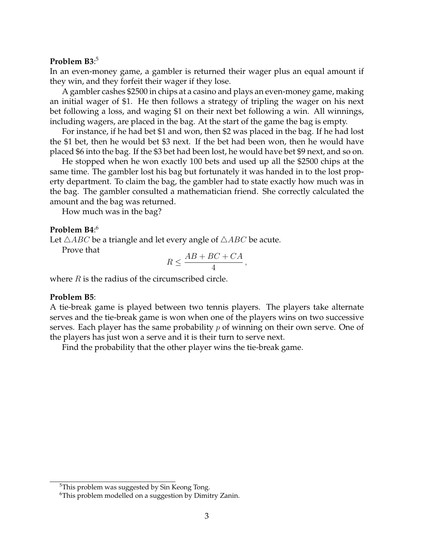#### **Problem B3**: [5](#page-2-0)

In an even-money game, a gambler is returned their wager plus an equal amount if they win, and they forfeit their wager if they lose.

A gambler cashes \$2500 in chips at a casino and plays an even-money game, making an initial wager of \$1. He then follows a strategy of tripling the wager on his next bet following a loss, and waging \$1 on their next bet following a win. All winnings, including wagers, are placed in the bag. At the start of the game the bag is empty.

For instance, if he had bet \$1 and won, then \$2 was placed in the bag. If he had lost the \$1 bet, then he would bet \$3 next. If the bet had been won, then he would have placed \$6 into the bag. If the \$3 bet had been lost, he would have bet \$9 next, and so on.

He stopped when he won exactly 100 bets and used up all the \$2500 chips at the same time. The gambler lost his bag but fortunately it was handed in to the lost property department. To claim the bag, the gambler had to state exactly how much was in the bag. The gambler consulted a mathematician friend. She correctly calculated the amount and the bag was returned.

How much was in the bag?

#### **Problem B4**: [6](#page-2-1)

Let  $\triangle ABC$  be a triangle and let every angle of  $\triangle ABC$  be acute.

Prove that

$$
R \le \frac{AB + BC + CA}{4},
$$

where  $R$  is the radius of the circumscribed circle.

#### **Problem B5**:

A tie-break game is played between two tennis players. The players take alternate serves and the tie-break game is won when one of the players wins on two successive serves. Each player has the same probability  $p$  of winning on their own serve. One of the players has just won a serve and it is their turn to serve next.

Find the probability that the other player wins the tie-break game.

<span id="page-2-0"></span><sup>&</sup>lt;sup>5</sup>This problem was suggested by Sin Keong Tong.

<span id="page-2-1"></span><sup>6</sup>This problem modelled on a suggestion by Dimitry Zanin.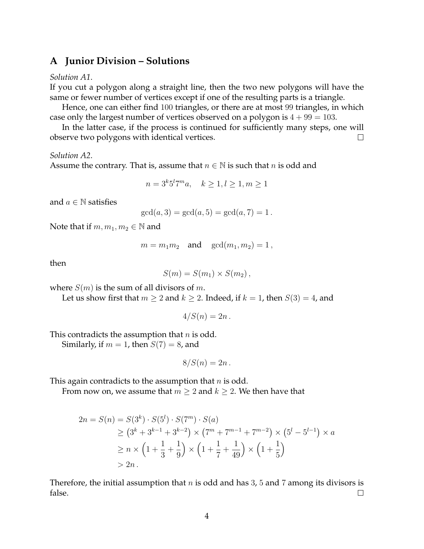## **A Junior Division – Solutions**

#### *Solution A1*.

If you cut a polygon along a straight line, then the two new polygons will have the same or fewer number of vertices except if one of the resulting parts is a triangle.

Hence, one can either find 100 triangles, or there are at most 99 triangles, in which case only the largest number of vertices observed on a polygon is  $4 + 99 = 103$ .

In the latter case, if the process is continued for sufficiently many steps, one will observe two polygons with identical vertices.  $\Box$ 

#### *Solution A2*.

Assume the contrary. That is, assume that  $n \in \mathbb{N}$  is such that n is odd and

$$
n = 3k 5l 7m a, \quad k \ge 1, l \ge 1, m \ge 1
$$

and  $a \in \mathbb{N}$  satisfies

$$
gcd(a, 3) = gcd(a, 5) = gcd(a, 7) = 1.
$$

Note that if  $m, m_1, m_2 \in \mathbb{N}$  and

$$
m=m_1m_2 \quad \text{and} \quad \gcd(m_1,m_2)=1\,,
$$

then

$$
S(m) = S(m_1) \times S(m_2),
$$

where  $S(m)$  is the sum of all divisors of m.

Let us show first that  $m \geq 2$  and  $k \geq 2$ . Indeed, if  $k = 1$ , then  $S(3) = 4$ , and

$$
4/S(n) = 2n.
$$

This contradicts the assumption that  $n$  is odd.

Similarly, if  $m = 1$ , then  $S(7) = 8$ , and

$$
8/S(n)=2n.
$$

This again contradicts to the assumption that  $n$  is odd.

From now on, we assume that  $m \geq 2$  and  $k \geq 2$ . We then have that

$$
2n = S(n) = S(3^{k}) \cdot S(5^{l}) \cdot S(7^{m}) \cdot S(a)
$$
  
\n
$$
\geq (3^{k} + 3^{k-1} + 3^{k-2}) \times (7^{m} + 7^{m-1} + 7^{m-2}) \times (5^{l} - 5^{l-1}) \times a
$$
  
\n
$$
\geq n \times \left(1 + \frac{1}{3} + \frac{1}{9}\right) \times \left(1 + \frac{1}{7} + \frac{1}{49}\right) \times \left(1 + \frac{1}{5}\right)
$$
  
\n
$$
> 2n.
$$

Therefore, the initial assumption that  $n$  is odd and has 3, 5 and 7 among its divisors is false.  $\Box$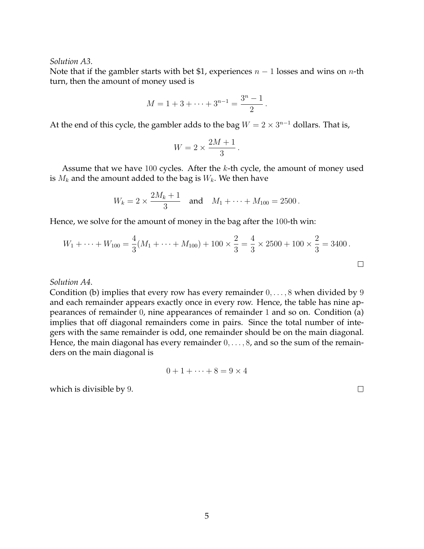*Solution A3*.

Note that if the gambler starts with bet \$1, experiences  $n-1$  losses and wins on *n*-th turn, then the amount of money used is

$$
M = 1 + 3 + \dots + 3^{n-1} = \frac{3^n - 1}{2}.
$$

At the end of this cycle, the gambler adds to the bag  $W = 2 \times 3^{n-1}$  dollars. That is,

$$
W = 2 \times \frac{2M + 1}{3}.
$$

Assume that we have  $100$  cycles. After the  $k$ -th cycle, the amount of money used is  $M_k$  and the amount added to the bag is  $W_k$ . We then have

$$
W_k = 2 \times \frac{2M_k + 1}{3}
$$
 and  $M_1 + \cdots + M_{100} = 2500$ .

Hence, we solve for the amount of money in the bag after the 100-th win:

$$
W_1 + \dots + W_{100} = \frac{4}{3}(M_1 + \dots + M_{100}) + 100 \times \frac{2}{3} = \frac{4}{3} \times 2500 + 100 \times \frac{2}{3} = 3400.
$$

*Solution A4*.

Condition (b) implies that every row has every remainder  $0, \ldots, 8$  when divided by 9 and each remainder appears exactly once in every row. Hence, the table has nine appearances of remainder 0, nine appearances of remainder 1 and so on. Condition (a) implies that off diagonal remainders come in pairs. Since the total number of integers with the same remainder is odd, one remainder should be on the main diagonal. Hence, the main diagonal has every remainder  $0, \ldots, 8$ , and so the sum of the remainders on the main diagonal is

$$
0+1+\cdots+8=9\times 4
$$

which is divisible by 9.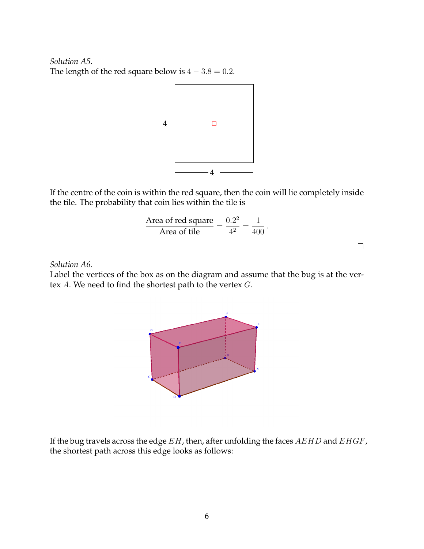*Solution A5*. The length of the red square below is  $4 - 3.8 = 0.2$ .



If the centre of the coin is within the red square, then the coin will lie completely inside the tile. The probability that coin lies within the tile is

Area of red square  
Area of tile 
$$
=
$$
  $\frac{0.2^2}{4^2} = \frac{1}{400}$ .

 $\Box$ 

#### *Solution A6*.

Label the vertices of the box as on the diagram and assume that the bug is at the vertex A. We need to find the shortest path to the vertex G.



If the bug travels across the edge  $EH$ , then, after unfolding the faces  $AEHD$  and  $EHGF$ , the shortest path across this edge looks as follows: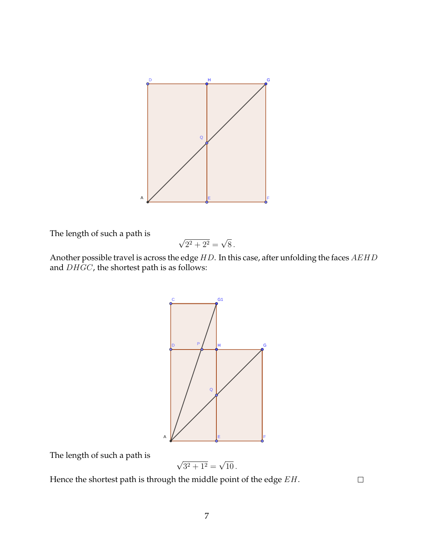

The length of such a path is

$$
\sqrt{2^2 + 2^2} = \sqrt{8}.
$$

Another possible travel is across the edge  $HD$ . In this case, after unfolding the faces  $AEHD$ and  $DHGC$ , the shortest path is as follows:



The length of such a path is

$$
\sqrt{3^2 + 1^2} = \sqrt{10} \, .
$$

Hence the shortest path is through the middle point of the edge  $EH$ .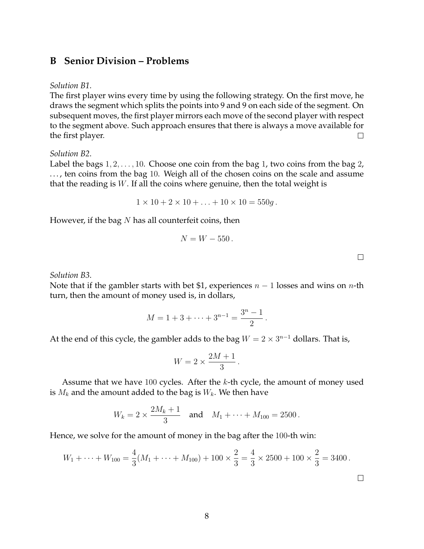## **B Senior Division – Problems**

#### *Solution B1*.

The first player wins every time by using the following strategy. On the first move, he draws the segment which splits the points into 9 and 9 on each side of the segment. On subsequent moves, the first player mirrors each move of the second player with respect to the segment above. Such approach ensures that there is always a move available for the first player. П

#### *Solution B2*.

Label the bags  $1, 2, \ldots, 10$ . Choose one coin from the bag 1, two coins from the bag 2, ..., ten coins from the bag 10. Weigh all of the chosen coins on the scale and assume that the reading is  $W$ . If all the coins where genuine, then the total weight is

$$
1 \times 10 + 2 \times 10 + \ldots + 10 \times 10 = 550g.
$$

However, if the bag  $N$  has all counterfeit coins, then

$$
N = W - 550.
$$

*Solution B3*.

Note that if the gambler starts with bet \$1, experiences  $n - 1$  losses and wins on *n*-th turn, then the amount of money used is, in dollars,

$$
M = 1 + 3 + \dots + 3^{n-1} = \frac{3^n - 1}{2}.
$$

At the end of this cycle, the gambler adds to the bag  $W = 2 \times 3^{n-1}$  dollars. That is,

$$
W = 2 \times \frac{2M + 1}{3}.
$$

Assume that we have 100 cycles. After the  $k$ -th cycle, the amount of money used is  $M_k$  and the amount added to the bag is  $W_k$ . We then have

$$
W_k = 2 \times \frac{2M_k + 1}{3}
$$
 and  $M_1 + \cdots + M_{100} = 2500$ .

Hence, we solve for the amount of money in the bag after the 100-th win:

$$
W_1 + \dots + W_{100} = \frac{4}{3}(M_1 + \dots + M_{100}) + 100 \times \frac{2}{3} = \frac{4}{3} \times 2500 + 100 \times \frac{2}{3} = 3400.
$$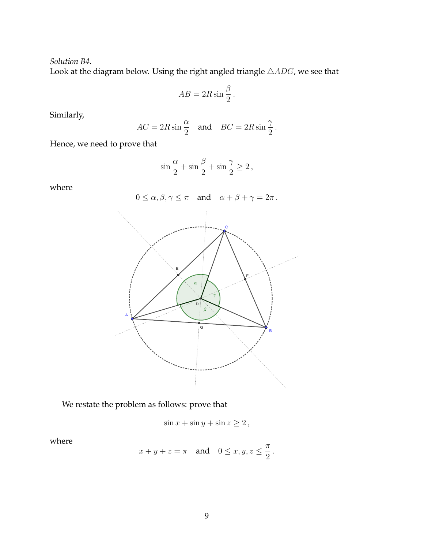*Solution B4*.

Look at the diagram below. Using the right angled triangle  $\triangle{ADG}$ , we see that

$$
AB = 2R\sin\frac{\beta}{2}.
$$

Similarly,

$$
AC = 2R\sin\frac{\alpha}{2} \quad \text{and} \quad BC = 2R\sin\frac{\gamma}{2}.
$$

Hence, we need to prove that

$$
\sin\frac{\alpha}{2}+\sin\frac{\beta}{2}+\sin\frac{\gamma}{2}\geq 2\,,
$$

where



We restate the problem as follows: prove that

$$
\sin x + \sin y + \sin z \ge 2,
$$

where

$$
x + y + z = \pi \quad \text{and} \quad 0 \le x, y, z \le \frac{\pi}{2}.
$$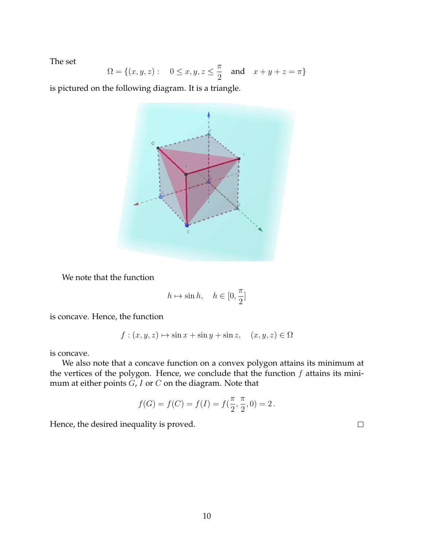The set

$$
\Omega = \{(x, y, z): \quad 0 \le x, y, z \le \frac{\pi}{2} \quad \text{and} \quad x + y + z = \pi\}
$$

is pictured on the following diagram. It is a triangle.



We note that the function

$$
h\mapsto \sin h, \quad h\in [0,\frac{\pi}{2}]
$$

is concave. Hence, the function

$$
f: (x, y, z) \mapsto \sin x + \sin y + \sin z, \quad (x, y, z) \in \Omega
$$

is concave.

We also note that a concave function on a convex polygon attains its minimum at the vertices of the polygon. Hence, we conclude that the function  $f$  attains its minimum at either points  $G$ ,  $I$  or  $C$  on the diagram. Note that

$$
f(G) = f(C) = f(I) = f(\frac{\pi}{2}, \frac{\pi}{2}, 0) = 2.
$$

Hence, the desired inequality is proved.